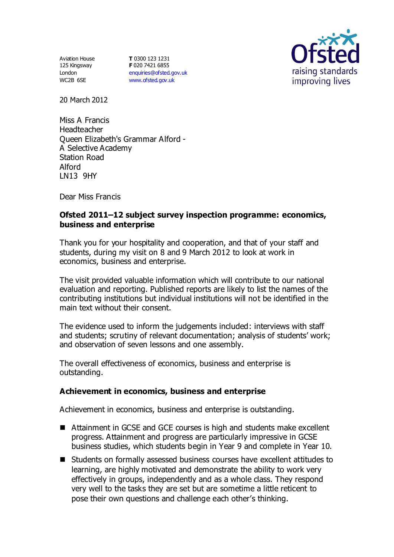Aviation House 125 Kingsway London WC2B 6SE

**T** 0300 123 1231 **F** 020 7421 6855 [enquiries@ofsted.gov.uk](mailto:enquiries@ofsted.gov.uk) [www.ofsted.gov.uk](http://www.ofsted.gov.uk/)



20 March 2012

Miss A Francis Headteacher Queen Elizabeth's Grammar Alford - A Selective Academy Station Road Alford LN13 9HY

Dear Miss Francis

## **Ofsted 2011–12 subject survey inspection programme: economics, business and enterprise**

Thank you for your hospitality and cooperation, and that of your staff and students, during my visit on 8 and 9 March 2012 to look at work in economics, business and enterprise.

The visit provided valuable information which will contribute to our national evaluation and reporting. Published reports are likely to list the names of the contributing institutions but individual institutions will not be identified in the main text without their consent.

The evidence used to inform the judgements included: interviews with staff and students; scrutiny of relevant documentation; analysis of students' work; and observation of seven lessons and one assembly.

The overall effectiveness of economics, business and enterprise is outstanding.

## **Achievement in economics, business and enterprise**

Achievement in economics, business and enterprise is outstanding.

- Attainment in GCSE and GCE courses is high and students make excellent progress. Attainment and progress are particularly impressive in GCSE business studies, which students begin in Year 9 and complete in Year 10.
- Students on formally assessed business courses have excellent attitudes to learning, are highly motivated and demonstrate the ability to work very effectively in groups, independently and as a whole class. They respond very well to the tasks they are set but are sometime a little reticent to pose their own questions and challenge each other's thinking.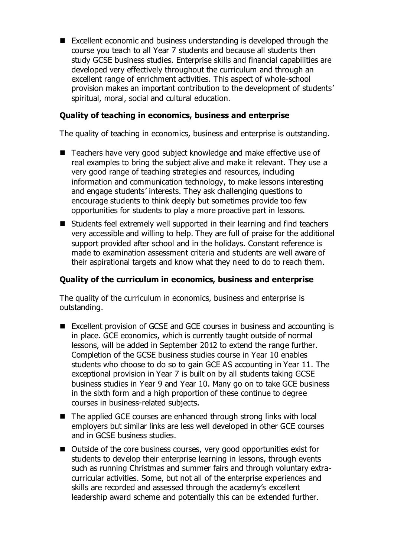Excellent economic and business understanding is developed through the course you teach to all Year 7 students and because all students then study GCSE business studies. Enterprise skills and financial capabilities are developed very effectively throughout the curriculum and through an excellent range of enrichment activities. This aspect of whole-school provision makes an important contribution to the development of students' spiritual, moral, social and cultural education.

# **Quality of teaching in economics, business and enterprise**

The quality of teaching in economics, business and enterprise is outstanding.

- Teachers have very good subject knowledge and make effective use of real examples to bring the subject alive and make it relevant. They use a very good range of teaching strategies and resources, including information and communication technology, to make lessons interesting and engage students' interests. They ask challenging questions to encourage students to think deeply but sometimes provide too few opportunities for students to play a more proactive part in lessons.
- Students feel extremely well supported in their learning and find teachers very accessible and willing to help. They are full of praise for the additional support provided after school and in the holidays. Constant reference is made to examination assessment criteria and students are well aware of their aspirational targets and know what they need to do to reach them.

## **Quality of the curriculum in economics, business and enterprise**

The quality of the curriculum in economics, business and enterprise is outstanding.

- Excellent provision of GCSE and GCE courses in business and accounting is in place. GCE economics, which is currently taught outside of normal lessons, will be added in September 2012 to extend the range further. Completion of the GCSE business studies course in Year 10 enables students who choose to do so to gain GCE AS accounting in Year 11. The exceptional provision in Year 7 is built on by all students taking GCSE business studies in Year 9 and Year 10. Many go on to take GCE business in the sixth form and a high proportion of these continue to degree courses in business-related subjects.
- The applied GCE courses are enhanced through strong links with local employers but similar links are less well developed in other GCE courses and in GCSE business studies.
- Outside of the core business courses, very good opportunities exist for students to develop their enterprise learning in lessons, through events such as running Christmas and summer fairs and through voluntary extracurricular activities. Some, but not all of the enterprise experiences and skills are recorded and assessed through the academy's excellent leadership award scheme and potentially this can be extended further.